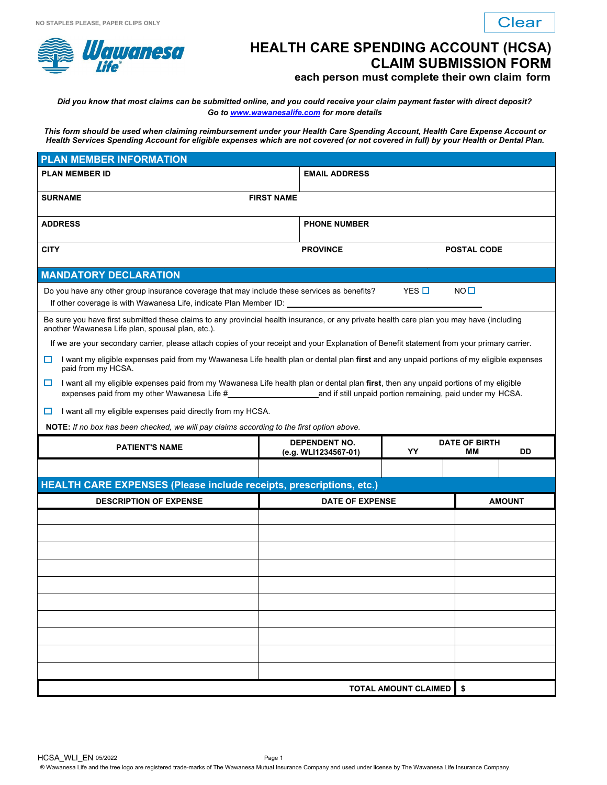

## **HEALTH CARE SPENDING ACCOUNT (HCSA) CLAIM SUBMISSION FORM**

## **each person must complete their own claim form**

| NO STAPLES PLEASE, PAPER CLIPS ONLY                                                                                                                                                                            |                                                                                                                                                                                                                                                                      |                                                                                               |  | <b>Clear</b>       |  |  |  |
|----------------------------------------------------------------------------------------------------------------------------------------------------------------------------------------------------------------|----------------------------------------------------------------------------------------------------------------------------------------------------------------------------------------------------------------------------------------------------------------------|-----------------------------------------------------------------------------------------------|--|--------------------|--|--|--|
| <i>Wawanesa</i><br><b>HEALTH CARE SPENDING ACCOUNT (HCSA)</b><br><b>CLAIM SUBMISSION FORM</b><br>each person must complete their own claim form                                                                |                                                                                                                                                                                                                                                                      |                                                                                               |  |                    |  |  |  |
| Did you know that most claims can be submitted online, and you could receive your claim payment faster with direct deposit?<br>Go to www.wawanesalife.com for more details                                     |                                                                                                                                                                                                                                                                      |                                                                                               |  |                    |  |  |  |
|                                                                                                                                                                                                                | This form should be used when claiming reimbursement under your Health Care Spending Account, Health Care Expense Account or<br>Health Services Spending Account for eligible expenses which are not covered (or not covered in full) by your Health or Dental Plan. |                                                                                               |  |                    |  |  |  |
| <b>PLAN MEMBER INFORMATION</b>                                                                                                                                                                                 |                                                                                                                                                                                                                                                                      |                                                                                               |  |                    |  |  |  |
| <b>PLAN MEMBER ID</b>                                                                                                                                                                                          |                                                                                                                                                                                                                                                                      | <b>EMAIL ADDRESS</b>                                                                          |  |                    |  |  |  |
| <b>SURNAME</b>                                                                                                                                                                                                 | <b>FIRST NAME</b>                                                                                                                                                                                                                                                    |                                                                                               |  |                    |  |  |  |
| <b>ADDRESS</b>                                                                                                                                                                                                 |                                                                                                                                                                                                                                                                      | <b>PHONE NUMBER</b>                                                                           |  |                    |  |  |  |
| <b>CITY</b>                                                                                                                                                                                                    |                                                                                                                                                                                                                                                                      | <b>PROVINCE</b>                                                                               |  | <b>POSTAL CODE</b> |  |  |  |
| <b>MANDATORY DECLARATION</b>                                                                                                                                                                                   |                                                                                                                                                                                                                                                                      |                                                                                               |  |                    |  |  |  |
| YES $\Pi$<br>$NO$ $\square$<br>Do you have any other group insurance coverage that may include these services as benefits?<br>If other coverage is with Wawanesa Life, indicate Plan Member ID: ______________ |                                                                                                                                                                                                                                                                      |                                                                                               |  |                    |  |  |  |
| Be sure you have first submitted these claims to any provincial health insurance, or any private health care plan you may have (including<br>another Wawanesa Life plan, spousal plan, etc.).                  |                                                                                                                                                                                                                                                                      |                                                                                               |  |                    |  |  |  |
| If we are your secondary carrier, please attach copies of your receipt and your Explanation of Benefit statement from your primary carrier.                                                                    |                                                                                                                                                                                                                                                                      |                                                                                               |  |                    |  |  |  |
| I want my eligible expenses paid from my Wawanesa Life health plan or dental plan first and any unpaid portions of my eligible expenses<br>□<br>paid from my HCSA.                                             |                                                                                                                                                                                                                                                                      |                                                                                               |  |                    |  |  |  |
| I want all my eligible expenses paid from my Wawanesa Life health plan or dental plan first, then any unpaid portions of my eligible<br>□                                                                      |                                                                                                                                                                                                                                                                      |                                                                                               |  |                    |  |  |  |
| I want all my eligible expenses paid directly from my HCSA.<br>ப                                                                                                                                               |                                                                                                                                                                                                                                                                      |                                                                                               |  |                    |  |  |  |
| NOTE: If no box has been checked, we will pay claims according to the first option above.                                                                                                                      |                                                                                                                                                                                                                                                                      |                                                                                               |  |                    |  |  |  |
| <b>PATIENT'S NAME</b>                                                                                                                                                                                          |                                                                                                                                                                                                                                                                      | <b>DEPENDENT NO.</b><br><b>DATE OF BIRTH</b><br>YY<br><b>DD</b><br>(e.g. WLI1234567-01)<br>ΜМ |  |                    |  |  |  |
|                                                                                                                                                                                                                |                                                                                                                                                                                                                                                                      |                                                                                               |  |                    |  |  |  |
| HEALTH CARE EXPENSES (Please include receipts, prescriptions, etc.)                                                                                                                                            |                                                                                                                                                                                                                                                                      |                                                                                               |  |                    |  |  |  |
| <b>DESCRIPTION OF EXPENSE</b>                                                                                                                                                                                  |                                                                                                                                                                                                                                                                      | <b>DATE OF EXPENSE</b>                                                                        |  | <b>AMOUNT</b>      |  |  |  |
|                                                                                                                                                                                                                |                                                                                                                                                                                                                                                                      |                                                                                               |  |                    |  |  |  |
|                                                                                                                                                                                                                |                                                                                                                                                                                                                                                                      |                                                                                               |  |                    |  |  |  |
|                                                                                                                                                                                                                |                                                                                                                                                                                                                                                                      |                                                                                               |  |                    |  |  |  |
|                                                                                                                                                                                                                |                                                                                                                                                                                                                                                                      |                                                                                               |  |                    |  |  |  |
|                                                                                                                                                                                                                |                                                                                                                                                                                                                                                                      |                                                                                               |  |                    |  |  |  |
|                                                                                                                                                                                                                |                                                                                                                                                                                                                                                                      |                                                                                               |  |                    |  |  |  |
|                                                                                                                                                                                                                |                                                                                                                                                                                                                                                                      |                                                                                               |  |                    |  |  |  |
|                                                                                                                                                                                                                |                                                                                                                                                                                                                                                                      |                                                                                               |  |                    |  |  |  |
| \$<br><b>TOTAL AMOUNT CLAIMED</b>                                                                                                                                                                              |                                                                                                                                                                                                                                                                      |                                                                                               |  |                    |  |  |  |
|                                                                                                                                                                                                                |                                                                                                                                                                                                                                                                      |                                                                                               |  |                    |  |  |  |